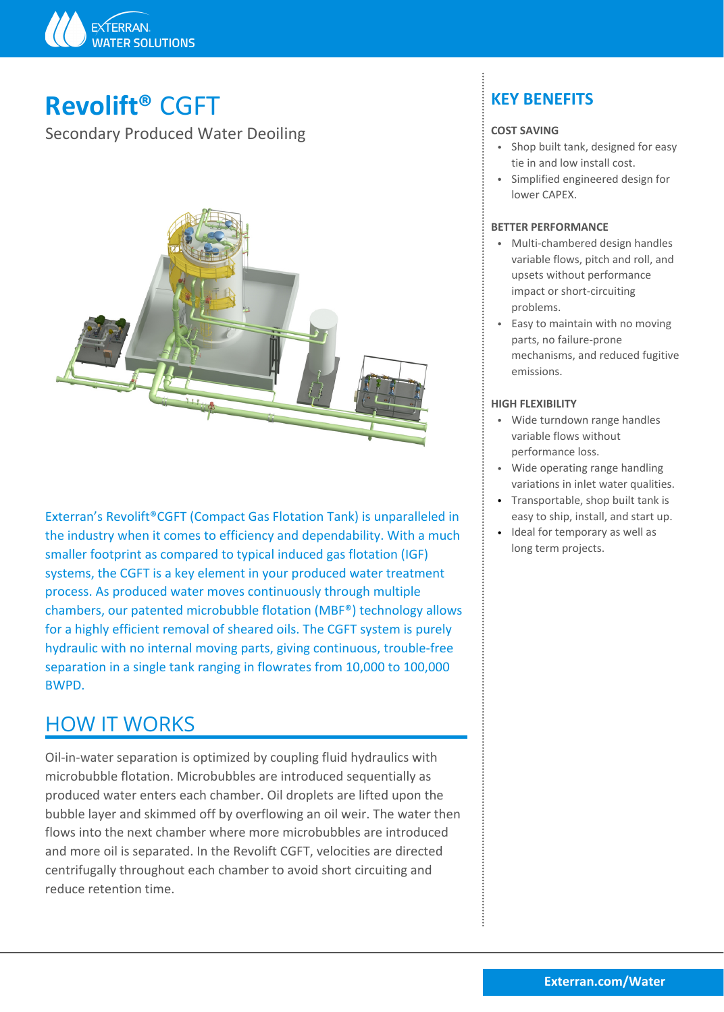

# **Revolift®** CGFT

Secondary Produced Water Deoiling



Exterran's Revolift®CGFT (Compact Gas Flotation Tank) is unparalleled in the industry when it comes to efficiency and dependability. With a much smaller footprint as compared to typical induced gas flotation (IGF) systems, the CGFT is a key element in your produced water treatment process. As produced water moves continuously through multiple chambers, our patented microbubble flotation (MBF®) technology allows for a highly efficient removal of sheared oils. The CGFT system is purely hydraulic with no internal moving parts, giving continuous, trouble-free separation in a single tank ranging in flowrates from 10,000 to 100,000 BWPD.

## HOW IT WORKS

BIKECLUBEC MODIGION. MICLOGENCE AT CHILOGECCE SEQUENTION, SP<br>BICOUCED WATER THERE SEARCH AND THE UNITED SEXTING THE WATER THEN DUBBLE INTERNATIONAL BUBBLE INTERNATIONAL SU<br>BUBBLE INTERNATION AND THE WATER THE WATER THE WAT Oil-in-water separation is optimized by coupling fluid hydraulics with microbubble flotation. Microbubbles are introduced sequentially as produced water enters each chamber. Oil droplets are lifted upon the flows into the next chamber where more microbubbles are introduced and more oil is separated. In the Revolift CGFT, velocities are directed centrifugally throughout each chamber to avoid short circuiting and reduce retention time.

## **KEY BENEFITS**

### **COST SAVING**

- Shop built tank, designed for easy tie in and low install cost.
- Simplified engineered design for lower CAPEX.

### **BETTER PERFORMANCE**

- Multi-chambered design handles variable flows, pitch and roll, and upsets without performance impact or short-circuiting problems.
- Fasy to maintain with no moving parts, no failure-prone mechanisms, and reduced fugitive emissions.

#### **HIGH FLEXIBILITY**

- Wide turndown range handles variable flows without performance loss.
- Wide operating range handling variations in inlet water qualities.
- Transportable, shop built tank is easy to ship, install, and start up.
- Ideal for temporary as well as long term projects.